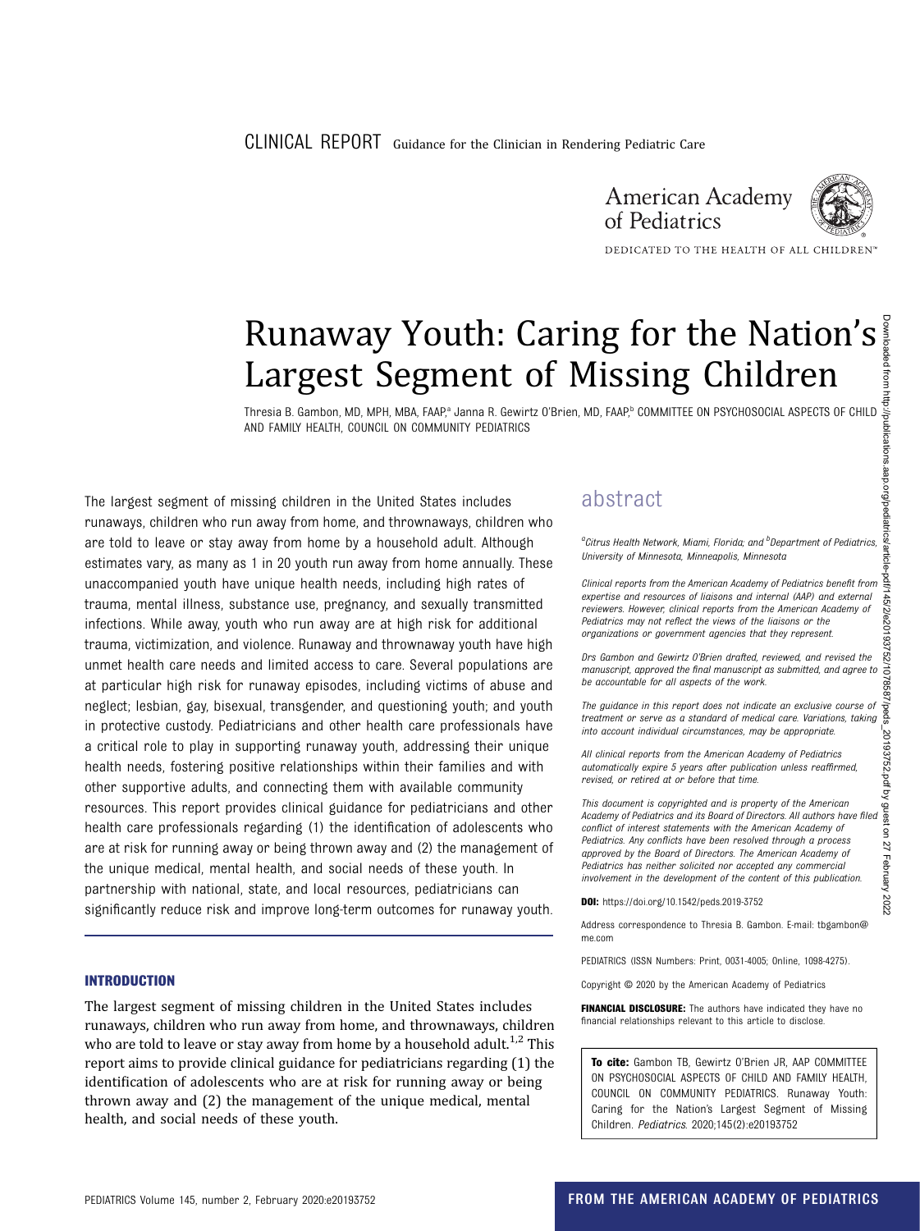

DEDICATED TO THE HEALTH OF ALL CHILDREN'

# Runaway Youth: Caring for the Nation's Largest Segment of Missing Children

Thresia B. Gambon, MD, MPH, MBA, FAAP,ª Janna R. Gewirtz O'Brien, MD, FAAP,ʰ COMMITTEE ON PSYCHOSOCIAL ASPECTS OF CHILD AND FAMILY HEALTH, COUNCIL ON COMMUNITY PEDIATRICS

The largest segment of missing children in the United States includes  $\qquad \qquad \text{abstract}$ runaways, children who run away from home, and thrownaways, children who are told to leave or stay away from home by a household adult. Although estimates vary, as many as 1 in 20 youth run away from home annually. These unaccompanied youth have unique health needs, including high rates of trauma, mental illness, substance use, pregnancy, and sexually transmitted infections. While away, youth who run away are at high risk for additional trauma, victimization, and violence. Runaway and thrownaway youth have high unmet health care needs and limited access to care. Several populations are at particular high risk for runaway episodes, including victims of abuse and neglect; lesbian, gay, bisexual, transgender, and questioning youth; and youth in protective custody. Pediatricians and other health care professionals have a critical role to play in supporting runaway youth, addressing their unique health needs, fostering positive relationships within their families and with other supportive adults, and connecting them with available community resources. This report provides clinical guidance for pediatricians and other health care professionals regarding (1) the identification of adolescents who are at risk for running away or being thrown away and (2) the management of the unique medical, mental health, and social needs of these youth. In partnership with national, state, and local resources, pediatricians can significantly reduce risk and improve long-term outcomes for runaway youth.

#### INTRODUCTION

The largest segment of missing children in the United States includes runaways, children who run away from home, and thrownaways, children who are told to leave or stay away from home by a household adult.<sup>[1,2](#page-8-0)</sup> This report aims to provide clinical guidance for pediatricians regarding (1) the identification of adolescents who are at risk for running away or being thrown away and (2) the management of the unique medical, mental health, and social needs of these youth.

<sup>a</sup>Citrus Health Network, Miami, Florida; and <sup>b</sup>Department of Pediatrics, University of Minnesota, Minneapolis, Minnesota

Clinical reports from the American Academy of Pediatrics benefit from expertise and resources of liaisons and internal (AAP) and external reviewers. However, clinical reports from the American Academy of Pediatrics may not reflect the views of the liaisons or the organizations or government agencies that they represent.

Drs Gambon and Gewirtz O'Brien drafted, reviewed, and revised the manuscript, approved the final manuscript as submitted, and agree to be accountable for all aspects of the work.

The guidance in this report does not indicate an exclusive course of treatment or serve as a standard of medical care. Variations, taking into account individual circumstances, may be appropriate.

All clinical reports from the American Academy of Pediatrics automatically expire 5 years after publication unless reaffirmed, revised, or retired at or before that time.

This document is copyrighted and is property of the American<br>Academy of Pediatrics and its Board of Directors. All authors have filed<br>conflict of interest statements with the American Academy of<br>Pediatrics. Any conflicts h

DOI: <https://doi.org/10.1542/peds.2019-3752>

Address correspondence to Thresia B. Gambon. E-mail: tbgambon@ me.com

PEDIATRICS (ISSN Numbers: Print, 0031-4005; Online, 1098-4275).

Copyright © 2020 by the American Academy of Pediatrics

**FINANCIAL DISCLOSURE:** The authors have indicated they have no financial relationships relevant to this article to disclose.

To cite: Gambon TB, Gewirtz O'Brien JR, AAP COMMITTEE ON PSYCHOSOCIAL ASPECTS OF CHILD AND FAMILY HEALTH, COUNCIL ON COMMUNITY PEDIATRICS. Runaway Youth: Caring for the Nation's Largest Segment of Missing Children. Pediatrics. 2020;145(2):e20193752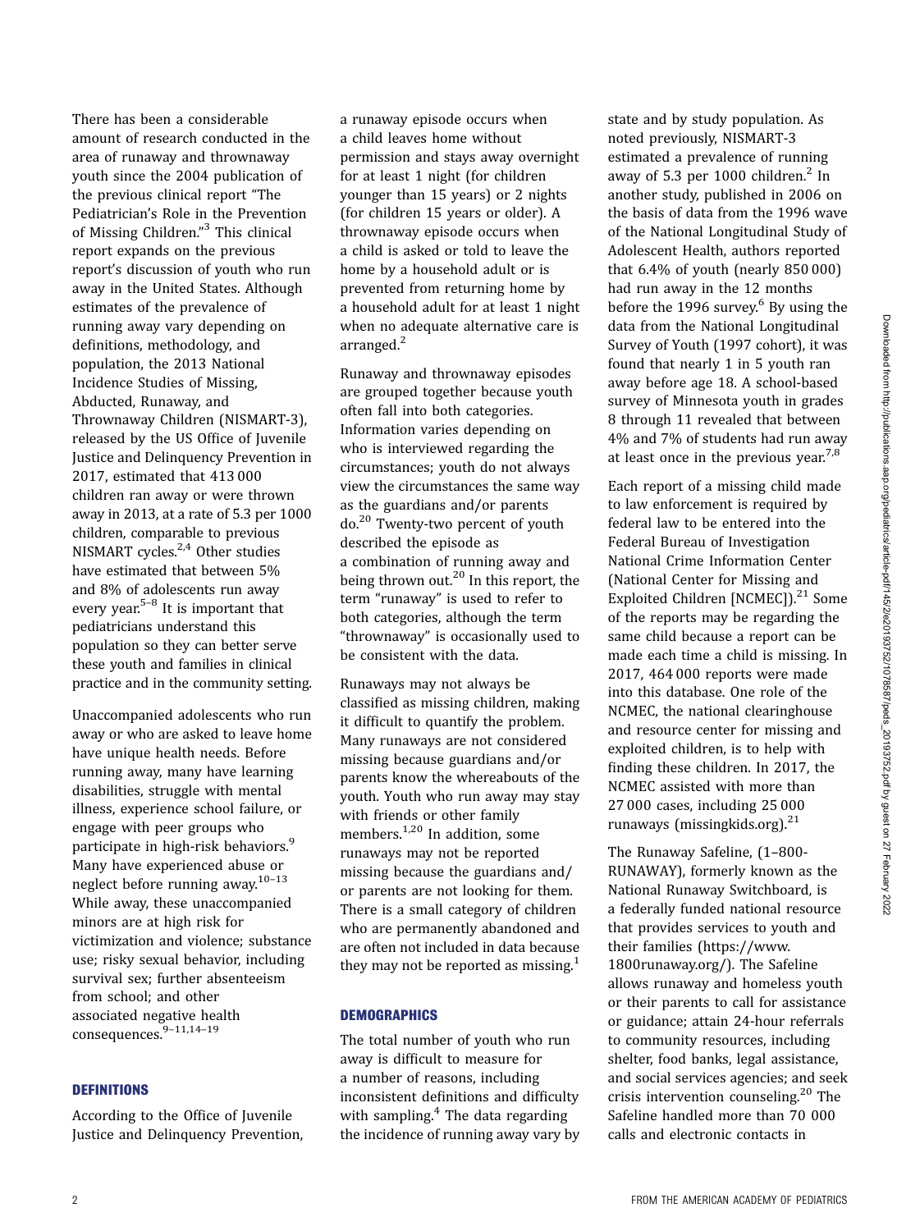There has been a considerable amount of research conducted in the area of runaway and thrownaway youth since the 2004 publication of the previous clinical report "The Pediatrician's Role in the Prevention of Missing Children."<sup>[3](#page-8-0)</sup> This clinical report expands on the previous report's discussion of youth who run away in the United States. Although estimates of the prevalence of running away vary depending on definitions, methodology, and population, the 2013 National Incidence Studies of Missing, Abducted, Runaway, and Thrownaway Children (NISMART-3), released by the US Office of Juvenile Justice and Delinquency Prevention in 2017, estimated that 413 000 children ran away or were thrown away in 2013, at a rate of 5.3 per 1000 children, comparable to previous NISMART cycles.<sup>[2](#page-8-0),[4](#page-8-0)</sup> Other studies have estimated that between 5% and 8% of adolescents run away every year. $5-8$  $5-8$  It is important that pediatricians understand this population so they can better serve these youth and families in clinical practice and in the community setting.

Unaccompanied adolescents who run away or who are asked to leave home have unique health needs. Before running away, many have learning disabilities, struggle with mental illness, experience school failure, or engage with peer groups who participate in high-risk behaviors.<sup>[9](#page-9-0)</sup> Many have experienced abuse or neglect before running away.[10](#page-9-0)–[13](#page-9-0) While away, these unaccompanied minors are at high risk for victimization and violence; substance use; risky sexual behavior, including survival sex; further absenteeism from school; and other associated negative health consequences.<sup>[9](#page-9-0)-[11,14](#page-9-0)-[19](#page-9-0)</sup>

# **DEFINITIONS**

According to the Office of Juvenile Justice and Delinquency Prevention, a runaway episode occurs when a child leaves home without permission and stays away overnight for at least 1 night (for children younger than 15 years) or 2 nights (for children 15 years or older). A thrownaway episode occurs when a child is asked or told to leave the home by a household adult or is prevented from returning home by a household adult for at least 1 night when no adequate alternative care is arranged.[2](#page-8-0)

Runaway and thrownaway episodes are grouped together because youth often fall into both categories. Information varies depending on who is interviewed regarding the circumstances; youth do not always view the circumstances the same way as the guardians and/or parents do.[20](#page-9-0) Twenty-two percent of youth described the episode as a combination of running away and being thrown out.<sup>[20](#page-9-0)</sup> In this report, the term "runaway" is used to refer to both categories, although the term "thrownaway" is occasionally used to be consistent with the data.

Runaways may not always be classified as missing children, making it difficult to quantify the problem. Many runaways are not considered missing because guardians and/or parents know the whereabouts of the youth. Youth who run away may stay with friends or other family members.<sup>[1,](#page-8-0)[20](#page-9-0)</sup> In addition, some runaways may not be reported missing because the guardians and/ or parents are not looking for them. There is a small category of children who are permanently abandoned and are often not included in data because they may not be reported as missing. $<sup>1</sup>$  $<sup>1</sup>$  $<sup>1</sup>$ </sup>

#### **DEMOGRAPHICS**

The total number of youth who run away is difficult to measure for a number of reasons, including inconsistent definitions and difficulty with sampling. $4$  The data regarding the incidence of running away vary by state and by study population. As noted previously, NISMART-3 estimated a prevalence of running away of 5.3 per 1000 children. $<sup>2</sup>$  $<sup>2</sup>$  $<sup>2</sup>$  In</sup> another study, published in 2006 on the basis of data from the 1996 wave of the National Longitudinal Study of Adolescent Health, authors reported that 6.4% of youth (nearly 850 000) had run away in the 12 months before the 199[6](#page-9-0) survey. $6$  By using the data from the National Longitudinal Survey of Youth (1997 cohort), it was found that nearly 1 in 5 youth ran away before age 18. A school-based survey of Minnesota youth in grades 8 through 11 revealed that between 4% and 7% of students had run away at least once in the previous year.<sup>[7,8](#page-9-0)</sup>

Each report of a missing child made to law enforcement is required by federal law to be entered into the Federal Bureau of Investigation National Crime Information Center (National Center for Missing and Exploited Children [NCMEC]).<sup>[21](#page-9-0)</sup> Some of the reports may be regarding the same child because a report can be made each time a child is missing. In 2017, 464 000 reports were made into this database. One role of the NCMEC, the national clearinghouse and resource center for missing and exploited children, is to help with finding these children. In 2017, the NCMEC assisted with more than 27 000 cases, including 25 000 runaways [\(missingkids.org](http://missingkids.org)). $21$ 

The Runaway Safeline, (1–800- RUNAWAY), formerly known as the National Runaway Switchboard, is a federally funded national resource that provides services to youth and their families [\(https://www.](https://www.1800runaway.org/) [1800runaway.org/\)](https://www.1800runaway.org/). The Safeline allows runaway and homeless youth or their parents to call for assistance or guidance; attain 24-hour referrals to community resources, including shelter, food banks, legal assistance, and social services agencies; and seek crisis intervention counseling.<sup>[20](#page-9-0)</sup> The Safeline handled more than 70 000 calls and electronic contacts in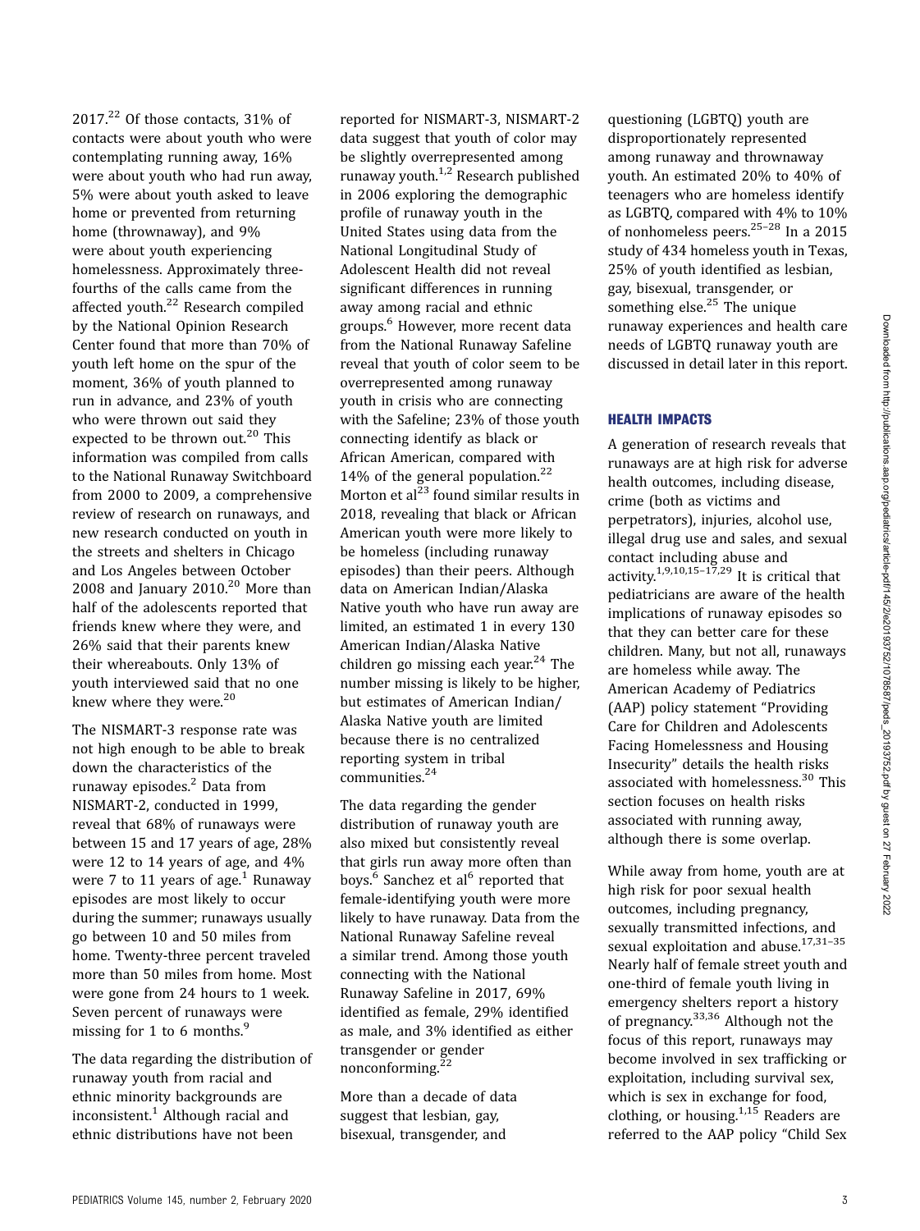2017.[22](#page-9-0) Of those contacts, 31% of contacts were about youth who were contemplating running away, 16% were about youth who had run away, 5% were about youth asked to leave home or prevented from returning home (thrownaway), and 9% were about youth experiencing homelessness. Approximately threefourths of the calls came from the affected youth.<sup>[22](#page-9-0)</sup> Research compiled by the National Opinion Research Center found that more than 70% of youth left home on the spur of the moment, 36% of youth planned to run in advance, and 23% of youth who were thrown out said they expected to be thrown out. $20$  This information was compiled from calls to the National Runaway Switchboard from 2000 to 2009, a comprehensive review of research on runaways, and new research conducted on youth in the streets and shelters in Chicago and Los Angeles between October [20](#page-9-0)08 and January 2010.<sup>20</sup> More than half of the adolescents reported that friends knew where they were, and 26% said that their parents knew their whereabouts. Only 13% of youth interviewed said that no one knew where they were.<sup>[20](#page-9-0)</sup> The NISMART-3 response rate was

not high enough to be able to break down the characteristics of the runaway episodes.[2](#page-8-0) Data from NISMART-2, conducted in 1999, reveal that 68% of runaways were between 15 and 17 years of age, 28% were 12 to 14 years of age, and 4% were 7 to [1](#page-8-0)1 years of age.<sup>1</sup> Runaway episodes are most likely to occur during the summer; runaways usually go between 10 and 50 miles from home. Twenty-three percent traveled more than 50 miles from home. Most were gone from 24 hours to 1 week. Seven percent of runaways were missing for 1 to 6 months. $9$ 

The data regarding the distribution of runaway youth from racial and ethnic minority backgrounds are inconsistent.<sup>[1](#page-8-0)</sup> Although racial and ethnic distributions have not been

reported for NISMART-3, NISMART-2 data suggest that youth of color may be slightly overrepresented among runaway youth. $1,2$  Research published in 2006 exploring the demographic profile of runaway youth in the United States using data from the National Longitudinal Study of Adolescent Health did not reveal significant differences in running away among racial and ethnic groups.<sup>[6](#page-9-0)</sup> However, more recent data from the National Runaway Safeline reveal that youth of color seem to be overrepresented among runaway youth in crisis who are connecting with the Safeline; 23% of those youth connecting identify as black or African American, compared with 14% of the general population.<sup>[22](#page-9-0)</sup> Morton et al $^{23}$  found similar results in 2018, revealing that black or African American youth were more likely to be homeless (including runaway episodes) than their peers. Although data on American Indian/Alaska Native youth who have run away are limited, an estimated 1 in every 130 American Indian/Alaska Native children go missing each year.<sup>[24](#page-9-0)</sup> The number missing is likely to be higher, but estimates of American Indian/ Alaska Native youth are limited because there is no centralized reporting system in tribal communities.<sup>[24](#page-9-0)</sup>

The data regarding the gender distribution of runaway youth are also mixed but consistently reveal that girls run away more often than boys.<sup>[6](#page-9-0)</sup> Sanchez et al<sup>6</sup> reported that female-identifying youth were more likely to have runaway. Data from the National Runaway Safeline reveal a similar trend. Among those youth connecting with the National Runaway Safeline in 2017, 69% identified as female, 29% identified as male, and 3% identified as either transgender or gender nonconforming. $22$ 

More than a decade of data suggest that lesbian, gay, bisexual, transgender, and

questioning (LGBTQ) youth are disproportionately represented among runaway and thrownaway youth. An estimated 20% to 40% of teenagers who are homeless identify as LGBTQ, compared with 4% to 10% of nonhomeless peers.  $25-28$  $25-28$  In a 2015 study of 434 homeless youth in Texas, 25% of youth identified as lesbian, gay, bisexual, transgender, or something else. $25$  The unique runaway experiences and health care needs of LGBTQ runaway youth are discussed in detail later in this report.

# HEALTH IMPACTS

A generation of research reveals that runaways are at high risk for adverse health outcomes, including disease, crime (both as victims and perpetrators), injuries, alcohol use, illegal drug use and sales, and sexual contact including abuse and activity.<sup>[1](#page-8-0),[9,10,15](#page-9-0)-[17](#page-9-0),[29](#page-9-0)</sup> It is critical that pediatricians are aware of the health implications of runaway episodes so that they can better care for these children. Many, but not all, runaways are homeless while away. The American Academy of Pediatrics (AAP) policy statement "Providing Care for Children and Adolescents Facing Homelessness and Housing Insecurity" details the health risks associated with homelessness.<sup>[30](#page-9-0)</sup> This section focuses on health risks associated with running away, although there is some overlap.

While away from home, youth are at high risk for poor sexual health outcomes, including pregnancy, sexually transmitted infections, and sexual exploitation and abuse.<sup>[17](#page-9-0),[31](#page-9-0)-[35](#page-10-0)</sup> Nearly half of female street youth and one-third of female youth living in emergency shelters report a history of pregnancy.[33,36](#page-10-0) Although not the focus of this report, runaways may become involved in sex trafficking or exploitation, including survival sex, which is sex in exchange for food, clothing, or housing. $1,15$  $1,15$  $1,15$  Readers are referred to the AAP policy "Child Sex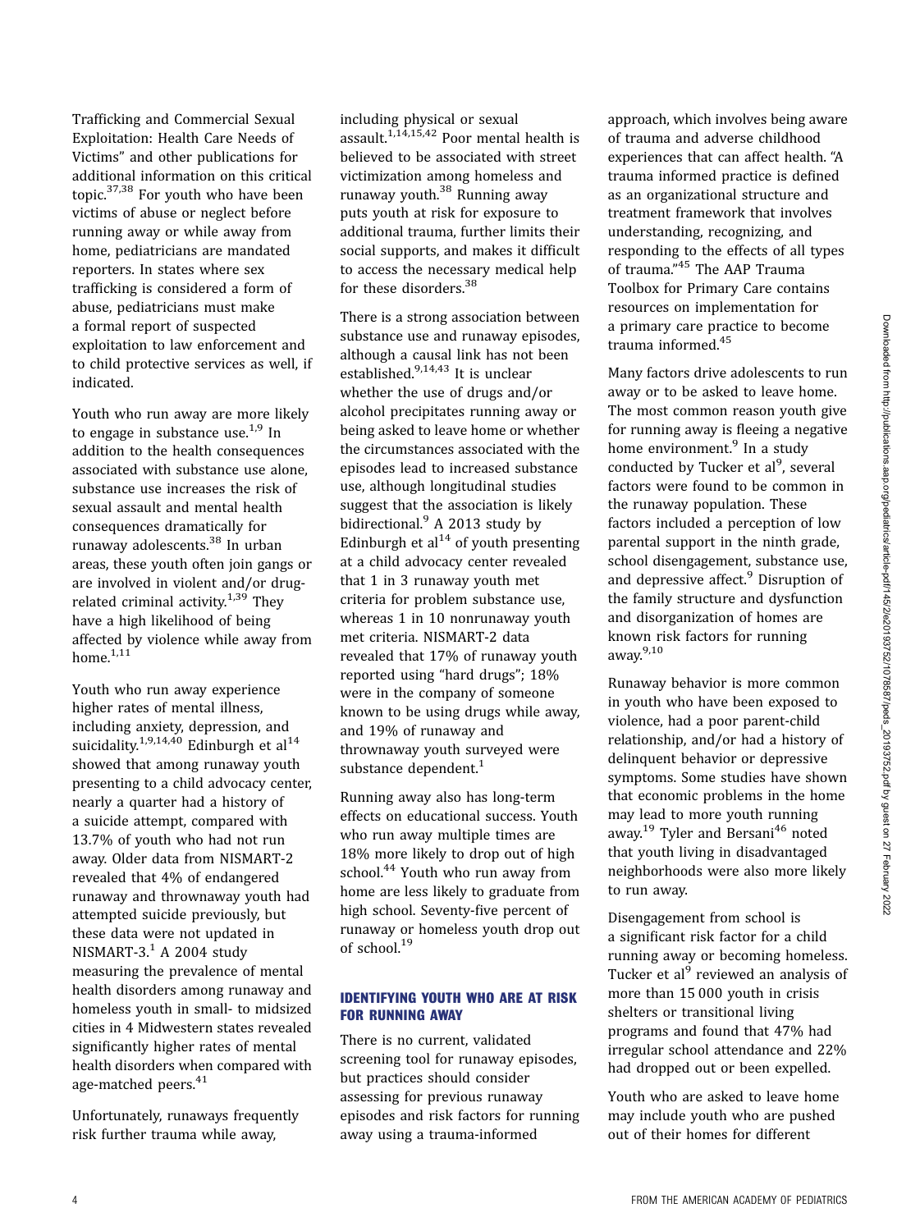Trafficking and Commercial Sexual Exploitation: Health Care Needs of Victims" and other publications for additional information on this critical topic.[37,38](#page-10-0) For youth who have been victims of abuse or neglect before running away or while away from home, pediatricians are mandated reporters. In states where sex trafficking is considered a form of abuse, pediatricians must make a formal report of suspected exploitation to law enforcement and to child protective services as well, if indicated.

Youth who run away are more likely to engage in substance use. $1,9$  $1,9$  $1,9$  In addition to the health consequences associated with substance use alone, substance use increases the risk of sexual assault and mental health consequences dramatically for runaway adolescents[.38](#page-10-0) In urban areas, these youth often join gangs or are involved in violent and/or drug-related criminal activity.<sup>[1](#page-8-0),[39](#page-10-0)</sup> They have a high likelihood of being affected by violence while away from home. $1,11$  $1,11$ 

Youth who run away experience higher rates of mental illness, including anxiety, depression, and suicidality.<sup>[1](#page-8-0),[9,14](#page-9-0)[,40](#page-10-0)</sup> Edinburgh et al<sup>[14](#page-9-0)</sup> showed that among runaway youth presenting to a child advocacy center, nearly a quarter had a history of a suicide attempt, compared with 13.7% of youth who had not run away. Older data from NISMART-2 revealed that 4% of endangered runaway and thrownaway youth had attempted suicide previously, but these data were not updated in NISMART-3. $<sup>1</sup>$  $<sup>1</sup>$  $<sup>1</sup>$  A 2004 study</sup> measuring the prevalence of mental health disorders among runaway and homeless youth in small- to midsized cities in 4 Midwestern states revealed significantly higher rates of mental health disorders when compared with age-matched peers.<sup>41</sup>

Unfortunately, runaways frequently risk further trauma while away,

including physical or sexual assault  $^{1,14,15,42}$  $^{1,14,15,42}$  $^{1,14,15,42}$  $^{1,14,15,42}$  $^{1,14,15,42}$  $^{1,14,15,42}$  $^{1,14,15,42}$  $^{1,14,15,42}$  Poor mental health is believed to be associated with street victimization among homeless and runaway youth.<sup>[38](#page-10-0)</sup> Running away puts youth at risk for exposure to additional trauma, further limits their social supports, and makes it difficult to access the necessary medical help for these disorders.<sup>[38](#page-10-0)</sup>

There is a strong association between substance use and runaway episodes, although a causal link has not been established.[9](#page-9-0),[14,](#page-9-0)[43](#page-10-0) It is unclear whether the use of drugs and/or alcohol precipitates running away or being asked to leave home or whether the circumstances associated with the episodes lead to increased substance use, although longitudinal studies suggest that the association is likely bidirectional.<sup>[9](#page-9-0)</sup> A 2013 study by Edinburgh et al $14$  of youth presenting at a child advocacy center revealed that 1 in 3 runaway youth met criteria for problem substance use, whereas 1 in 10 nonrunaway youth met criteria. NISMART-2 data revealed that 17% of runaway youth reported using "hard drugs"; 18% were in the company of someone known to be using drugs while away, and 19% of runaway and thrownaway youth surveyed were substance dependent. $1$ 

Running away also has long-term effects on educational success. Youth who run away multiple times are 18% more likely to drop out of high school.<sup>[44](#page-10-0)</sup> Youth who run away from home are less likely to graduate from high school. Seventy-five percent of runaway or homeless youth drop out of school.<sup>[19](#page-9-0)</sup>

# IDENTIFYING YOUTH WHO ARE AT RISK FOR RUNNING AWAY

There is no current, validated screening tool for runaway episodes, but practices should consider assessing for previous runaway episodes and risk factors for running away using a trauma-informed

approach, which involves being aware of trauma and adverse childhood experiences that can affect health. "A trauma informed practice is defined as an organizational structure and treatment framework that involves understanding, recognizing, and responding to the effects of all types of trauma."<sup>[45](#page-10-0)</sup> The AAP Trauma Toolbox for Primary Care contains resources on implementation for a primary care practice to become trauma informed.[45](#page-10-0)

Many factors drive adolescents to run away or to be asked to leave home. The most common reason youth give for running away is fleeing a negative home environment.<sup>[9](#page-9-0)</sup> In a study conducted by Tucker et al<sup>[9](#page-9-0)</sup>, several factors were found to be common in the runaway population. These factors included a perception of low parental support in the ninth grade, school disengagement, substance use, and depressive affect.<sup>[9](#page-9-0)</sup> Disruption of the family structure and dysfunction and disorganization of homes are known risk factors for running away.<sup>[9,10](#page-9-0)</sup>

Runaway behavior is more common in youth who have been exposed to violence, had a poor parent-child relationship, and/or had a history of delinquent behavior or depressive symptoms. Some studies have shown that economic problems in the home may lead to more youth running away.<sup>[19](#page-9-0)</sup> Tyler and Bersani<sup>[46](#page-10-0)</sup> noted that youth living in disadvantaged neighborhoods were also more likely to run away.

Disengagement from school is a significant risk factor for a child running away or becoming homeless. Tucker et al $<sup>9</sup>$  $<sup>9</sup>$  $<sup>9</sup>$  reviewed an analysis of</sup> more than 15 000 youth in crisis shelters or transitional living programs and found that 47% had irregular school attendance and 22% had dropped out or been expelled.

Youth who are asked to leave home may include youth who are pushed out of their homes for different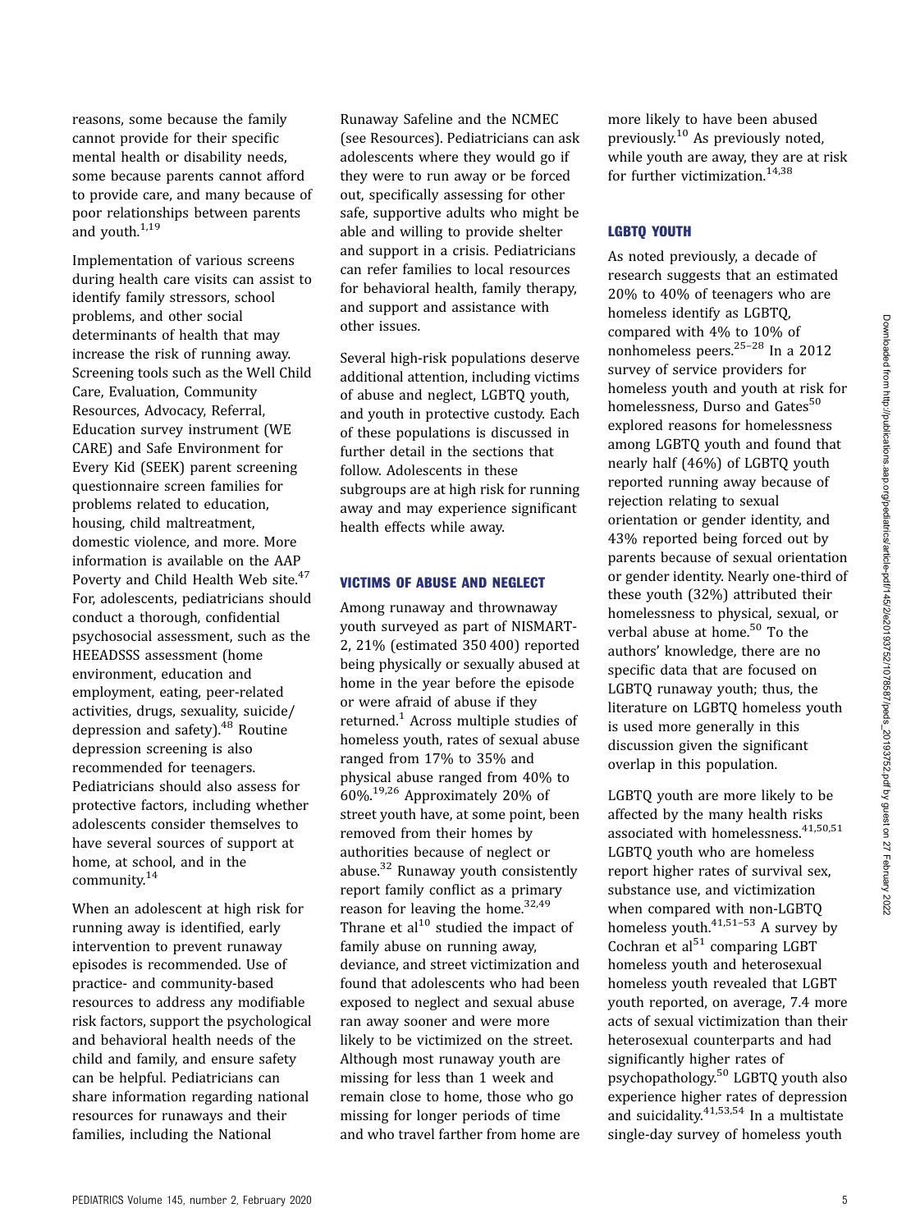reasons, some because the family cannot provide for their specific mental health or disability needs, some because parents cannot afford to provide care, and many because of poor relationships between parents and vouth. $1,19$  $1,19$ 

Implementation of various screens during health care visits can assist to identify family stressors, school problems, and other social determinants of health that may increase the risk of running away. Screening tools such as the Well Child Care, Evaluation, Community Resources, Advocacy, Referral, Education survey instrument (WE CARE) and Safe Environment for Every Kid (SEEK) parent screening questionnaire screen families for problems related to education, housing, child maltreatment, domestic violence, and more. More information is available on the AAP Poverty and Child Health Web site.<sup>[47](#page-10-0)</sup> For, adolescents, pediatricians should conduct a thorough, confidential psychosocial assessment, such as the HEEADSSS assessment (home environment, education and employment, eating, peer-related activities, drugs, sexuality, suicide/ depression and safety). $48$  Routine depression screening is also recommended for teenagers. Pediatricians should also assess for protective factors, including whether adolescents consider themselves to have several sources of support at home, at school, and in the community.[14](#page-9-0)

When an adolescent at high risk for running away is identified, early intervention to prevent runaway episodes is recommended. Use of practice- and community-based resources to address any modifiable risk factors, support the psychological and behavioral health needs of the child and family, and ensure safety can be helpful. Pediatricians can share information regarding national resources for runaways and their families, including the National

Runaway Safeline and the NCMEC (see Resources). Pediatricians can ask adolescents where they would go if they were to run away or be forced out, specifically assessing for other safe, supportive adults who might be able and willing to provide shelter and support in a crisis. Pediatricians can refer families to local resources for behavioral health, family therapy, and support and assistance with other issues.

Several high-risk populations deserve additional attention, including victims of abuse and neglect, LGBTQ youth, and youth in protective custody. Each of these populations is discussed in further detail in the sections that follow. Adolescents in these subgroups are at high risk for running away and may experience significant health effects while away.

#### VICTIMS OF ABUSE AND NEGLECT

Among runaway and thrownaway youth surveyed as part of NISMART-2, 21% (estimated 350 400) reported being physically or sexually abused at home in the year before the episode or were afraid of abuse if they returned.<sup>[1](#page-8-0)</sup> Across multiple studies of homeless youth, rates of sexual abuse ranged from 17% to 35% and physical abuse ranged from 40% to  $60\%$ <sup>[19,26](#page-9-0)</sup> Approximately 20% of street youth have, at some point, been removed from their homes by authorities because of neglect or abuse.<sup>[32](#page-9-0)</sup> Runaway youth consistently report family conflict as a primary reason for leaving the home. $32,49$  $32,49$ Thrane et al $^{10}$  studied the impact of family abuse on running away, deviance, and street victimization and found that adolescents who had been exposed to neglect and sexual abuse ran away sooner and were more likely to be victimized on the street. Although most runaway youth are missing for less than 1 week and remain close to home, those who go missing for longer periods of time and who travel farther from home are more likely to have been abused previously.[10](#page-9-0) As previously noted, while youth are away, they are at risk for further victimization. $14,38$  $14,38$ 

# LGBTQ YOUTH

As noted previously, a decade of research suggests that an estimated 20% to 40% of teenagers who are homeless identify as LGBTQ, compared with 4% to 10% of nonhomeless peers.[25](#page-9-0)–[28](#page-9-0) In a 2012 survey of service providers for homeless youth and youth at risk for homelessness, Durso and Gates<sup>[50](#page-10-0)</sup> explored reasons for homelessness among LGBTQ youth and found that nearly half (46%) of LGBTQ youth reported running away because of rejection relating to sexual orientation or gender identity, and 43% reported being forced out by parents because of sexual orientation or gender identity. Nearly one-third of these youth (32%) attributed their homelessness to physical, sexual, or verbal abuse at home.<sup>[50](#page-10-0)</sup> To the authors' knowledge, there are no specific data that are focused on LGBTQ runaway youth; thus, the literature on LGBTQ homeless youth is used more generally in this discussion given the significant overlap in this population.

LGBTQ youth are more likely to be affected by the many health risks associated with homelessness.[41,50,51](#page-10-0) LGBTQ youth who are homeless report higher rates of survival sex, substance use, and victimization when compared with non-LGBTQ homeless youth. $^{41,51-53}$  $^{41,51-53}$  $^{41,51-53}$  $^{41,51-53}$  $^{41,51-53}$  A survey by Cochran et  $al<sup>51</sup>$  $al<sup>51</sup>$  $al<sup>51</sup>$  comparing LGBT homeless youth and heterosexual homeless youth revealed that LGBT youth reported, on average, 7.4 more acts of sexual victimization than their heterosexual counterparts and had significantly higher rates of psychopathology.[50](#page-10-0) LGBTQ youth also experience higher rates of depression and suicidality.[41,53](#page-10-0),[54](#page-10-0) In a multistate single-day survey of homeless youth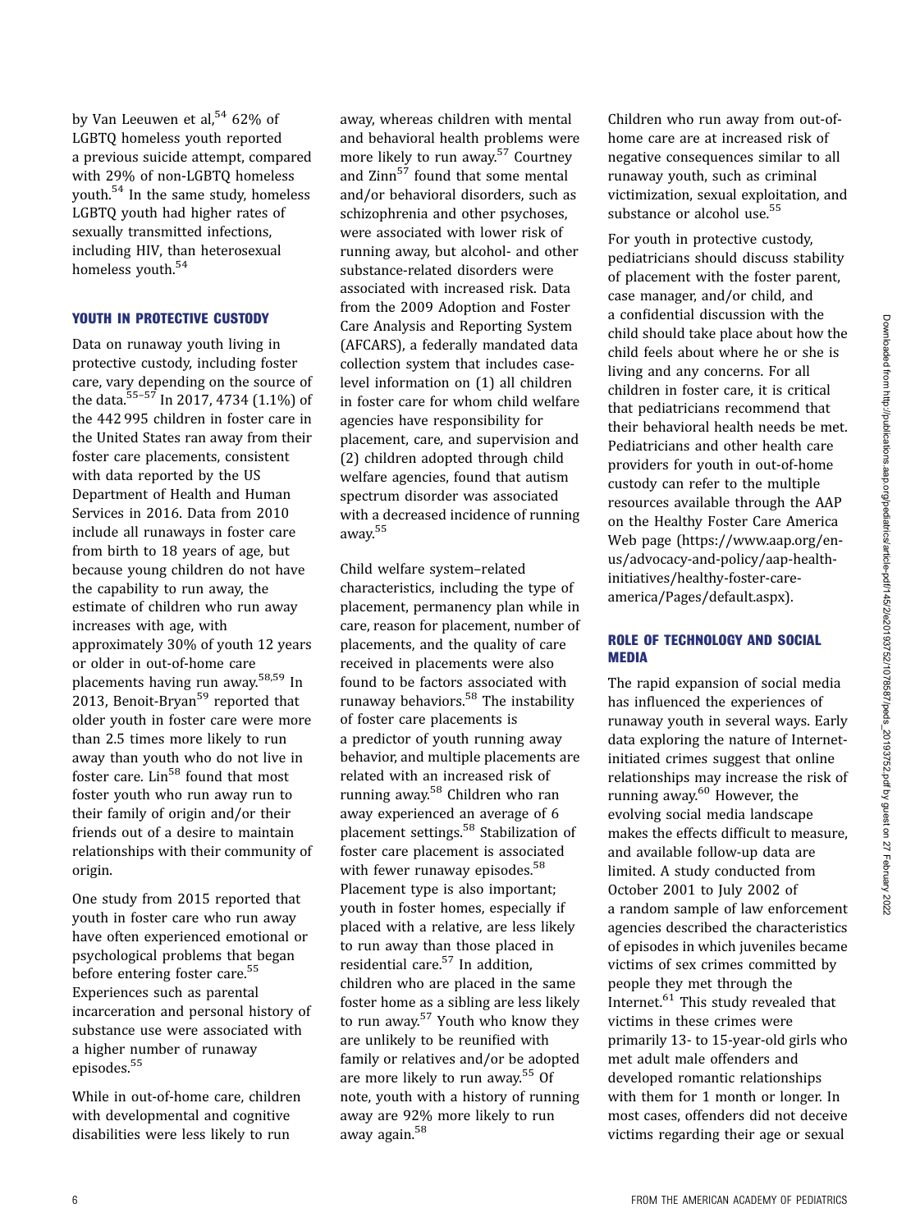Downloaded from http://publications.aap.org/pediatrics/article-pdf/145/2/e20193752/1078587/peds\_20193752.pdf by guest on 27 February 2022 Downloaded from http://publications.aap.org/pediatrics/article-pdf/145/2/e20193752/1078587/peds\_20193752.pdf by guest on 27 February 2022

by Van Leeuwen et al,  $54$  62% of LGBTQ homeless youth reported a previous suicide attempt, compared with 29% of non-LGBTQ homeless youth.[54](#page-10-0) In the same study, homeless LGBTQ youth had higher rates of sexually transmitted infections, including HIV, than heterosexual homeless youth.<sup>[54](#page-10-0)</sup>

# YOUTH IN PROTECTIVE CUSTODY

Data on runaway youth living in protective custody, including foster care, vary depending on the source of the data.<sup>[55](#page-10-0)-[57](#page-10-0)</sup> In 2017, 4734 (1.1%) of the 442 995 children in foster care in the United States ran away from their foster care placements, consistent with data reported by the US Department of Health and Human Services in 2016. Data from 2010 include all runaways in foster care from birth to 18 years of age, but because young children do not have the capability to run away, the estimate of children who run away increases with age, with approximately 30% of youth 12 years or older in out-of-home care placements having run away.<sup>[58,59](#page-10-0)</sup> In 2013, Benoit-Bryan<sup>[59](#page-10-0)</sup> reported that older youth in foster care were more than 2.5 times more likely to run away than youth who do not live in foster care. Lin<sup>[58](#page-10-0)</sup> found that most foster youth who run away run to their family of origin and/or their friends out of a desire to maintain relationships with their community of origin.

One study from 2015 reported that youth in foster care who run away have often experienced emotional or psychological problems that began before entering foster care.<sup>[55](#page-10-0)</sup> Experiences such as parental incarceration and personal history of substance use were associated with a higher number of runaway episodes.<sup>[55](#page-10-0)</sup>

While in out-of-home care, children with developmental and cognitive disabilities were less likely to run

away, whereas children with mental and behavioral health problems were more likely to run away.<sup>[57](#page-10-0)</sup> Courtney and  $\text{Zinn}^{57}$  found that some mental and/or behavioral disorders, such as schizophrenia and other psychoses, were associated with lower risk of running away, but alcohol- and other substance-related disorders were associated with increased risk. Data from the 2009 Adoption and Foster Care Analysis and Reporting System (AFCARS), a federally mandated data collection system that includes caselevel information on (1) all children in foster care for whom child welfare agencies have responsibility for placement, care, and supervision and (2) children adopted through child welfare agencies, found that autism spectrum disorder was associated with a decreased incidence of running away.[55](#page-10-0)

Child welfare system–related characteristics, including the type of placement, permanency plan while in care, reason for placement, number of placements, and the quality of care received in placements were also found to be factors associated with runaway behaviors.<sup>[58](#page-10-0)</sup> The instability of foster care placements is a predictor of youth running away behavior, and multiple placements are related with an increased risk of running away.[58](#page-10-0) Children who ran away experienced an average of 6 placement settings.[58](#page-10-0) Stabilization of foster care placement is associated with fewer runaway episodes.<sup>[58](#page-10-0)</sup> Placement type is also important; youth in foster homes, especially if placed with a relative, are less likely to run away than those placed in residential care[.57](#page-10-0) In addition, children who are placed in the same foster home as a sibling are less likely to run away.<sup>[57](#page-10-0)</sup> Youth who know they are unlikely to be reunified with family or relatives and/or be adopted are more likely to run away.<sup>[55](#page-10-0)</sup> Of note, youth with a history of running away are 92% more likely to run away again.[58](#page-10-0)

Children who run away from out-ofhome care are at increased risk of negative consequences similar to all runaway youth, such as criminal victimization, sexual exploitation, and substance or alcohol use.<sup>55</sup>

For youth in protective custody, pediatricians should discuss stability of placement with the foster parent, case manager, and/or child, and a confidential discussion with the child should take place about how the child feels about where he or she is living and any concerns. For all children in foster care, it is critical that pediatricians recommend that their behavioral health needs be met. Pediatricians and other health care providers for youth in out-of-home custody can refer to the multiple resources available through the AAP on the Healthy Foster Care America Web page ([https://www.aap.org/en](https://www.aap.org/en-us/advocacy-and-policy/aap-health-initiatives/healthy-foster-care-america/Pages/default.aspx)[us/advocacy-and-policy/aap-health](https://www.aap.org/en-us/advocacy-and-policy/aap-health-initiatives/healthy-foster-care-america/Pages/default.aspx)[initiatives/healthy-foster-care](https://www.aap.org/en-us/advocacy-and-policy/aap-health-initiatives/healthy-foster-care-america/Pages/default.aspx)[america/Pages/default.aspx](https://www.aap.org/en-us/advocacy-and-policy/aap-health-initiatives/healthy-foster-care-america/Pages/default.aspx)).

# ROLE OF TECHNOLOGY AND SOCIAL MEDIA

The rapid expansion of social media has influenced the experiences of runaway youth in several ways. Early data exploring the nature of Internetinitiated crimes suggest that online relationships may increase the risk of running away. $60$  However, the evolving social media landscape makes the effects difficult to measure, and available follow-up data are limited. A study conducted from October 2001 to July 2002 of a random sample of law enforcement agencies described the characteristics of episodes in which juveniles became victims of sex crimes committed by people they met through the Internet.<sup>[61](#page-10-0)</sup> This study revealed that victims in these crimes were primarily 13- to 15-year-old girls who met adult male offenders and developed romantic relationships with them for 1 month or longer. In most cases, offenders did not deceive victims regarding their age or sexual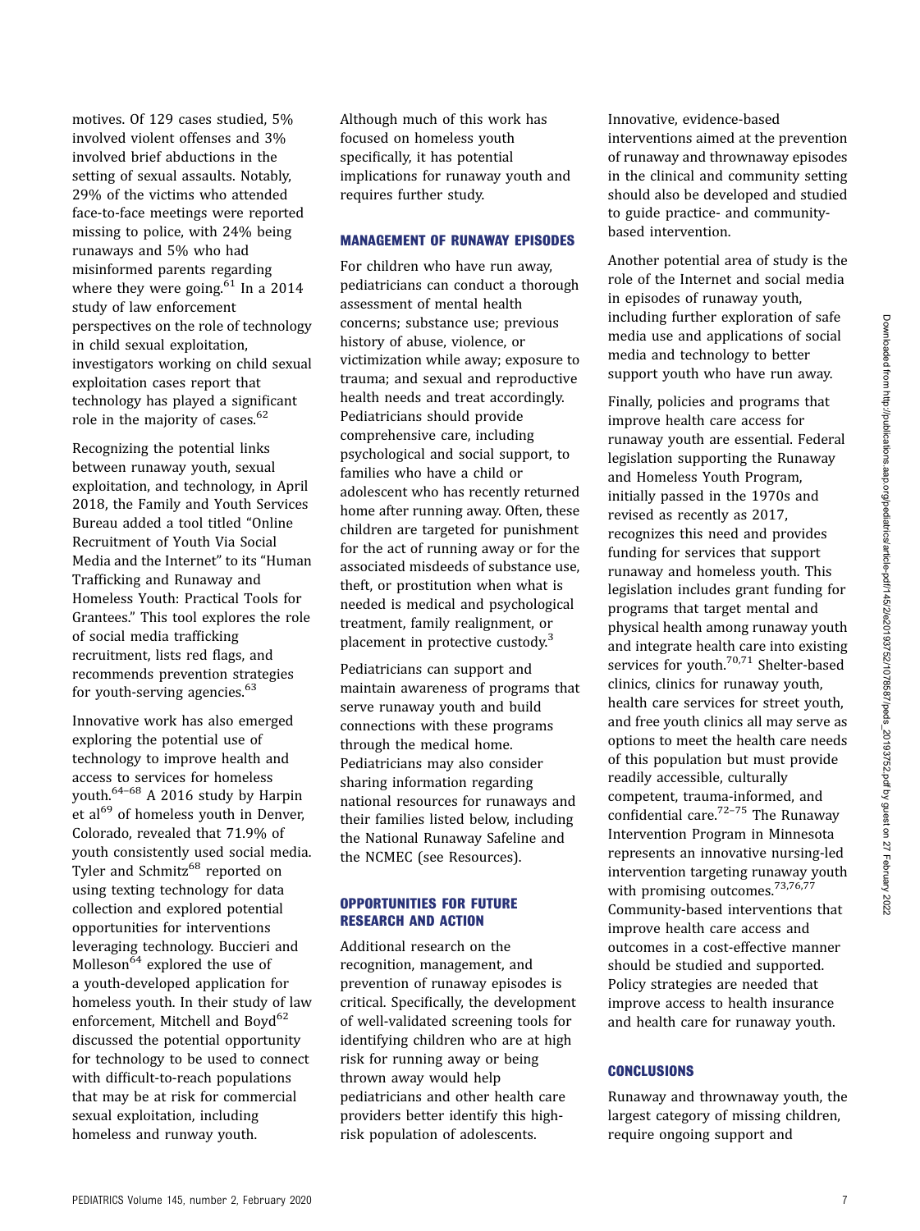motives. Of 129 cases studied, 5% involved violent offenses and 3% involved brief abductions in the setting of sexual assaults. Notably, 29% of the victims who attended face-to-face meetings were reported missing to police, with 24% being runaways and 5% who had misinformed parents regarding where they were going. $61$  In a 2014 study of law enforcement perspectives on the role of technology in child sexual exploitation, investigators working on child sexual exploitation cases report that technology has played a significant role in the majority of cases. $62$ 

Recognizing the potential links between runaway youth, sexual exploitation, and technology, in April 2018, the Family and Youth Services Bureau added a tool titled "Online Recruitment of Youth Via Social Media and the Internet" to its "Human Trafficking and Runaway and Homeless Youth: Practical Tools for Grantees." This tool explores the role of social media trafficking recruitment, lists red flags, and recommends prevention strategies for youth-serving agencies.<sup>[63](#page-11-0)</sup>

Innovative work has also emerged exploring the potential use of technology to improve health and access to services for homeless youth.[64](#page-11-0)–[68](#page-11-0) A 2016 study by Harpin et al $^{69}$  $^{69}$  $^{69}$  of homeless youth in Denver, Colorado, revealed that 71.9% of youth consistently used social media. Tyler and Schmitz<sup>[68](#page-11-0)</sup> reported on using texting technology for data collection and explored potential opportunities for interventions leveraging technology. Buccieri and Molleson<sup> $\vec{64}$  $\vec{64}$  $\vec{64}$ </sup> explored the use of a youth-developed application for homeless youth. In their study of law enforcement, Mitchell and Boyd<sup>[62](#page-10-0)</sup> discussed the potential opportunity for technology to be used to connect with difficult-to-reach populations that may be at risk for commercial sexual exploitation, including homeless and runway youth.

Although much of this work has focused on homeless youth specifically, it has potential implications for runaway youth and requires further study.

#### MANAGEMENT OF RUNAWAY EPISODES

For children who have run away, pediatricians can conduct a thorough assessment of mental health concerns; substance use; previous history of abuse, violence, or victimization while away; exposure to trauma; and sexual and reproductive health needs and treat accordingly. Pediatricians should provide comprehensive care, including psychological and social support, to families who have a child or adolescent who has recently returned home after running away. Often, these children are targeted for punishment for the act of running away or for the associated misdeeds of substance use, theft, or prostitution when what is needed is medical and psychological treatment, family realignment, or placement in protective custody.<sup>[3](#page-8-0)</sup>

Pediatricians can support and maintain awareness of programs that serve runaway youth and build connections with these programs through the medical home. Pediatricians may also consider sharing information regarding national resources for runaways and their families listed below, including the National Runaway Safeline and the NCMEC (see Resources).

# OPPORTUNITIES FOR FUTURE RESEARCH AND ACTION

Additional research on the recognition, management, and prevention of runaway episodes is critical. Specifically, the development of well-validated screening tools for identifying children who are at high risk for running away or being thrown away would help pediatricians and other health care providers better identify this highrisk population of adolescents.

Innovative, evidence-based interventions aimed at the prevention of runaway and thrownaway episodes in the clinical and community setting should also be developed and studied to guide practice- and communitybased intervention.

Another potential area of study is the role of the Internet and social media in episodes of runaway youth, including further exploration of safe media use and applications of social media and technology to better support youth who have run away.

Finally, policies and programs that improve health care access for runaway youth are essential. Federal legislation supporting the Runaway and Homeless Youth Program, initially passed in the 1970s and revised as recently as 2017, recognizes this need and provides funding for services that support runaway and homeless youth. This legislation includes grant funding for programs that target mental and physical health among runaway youth and integrate health care into existing services for youth.<sup>[70,71](#page-11-0)</sup> Shelter-based clinics, clinics for runaway youth, health care services for street youth, and free youth clinics all may serve as options to meet the health care needs of this population but must provide readily accessible, culturally competent, trauma-informed, and confidential care.<sup>72-[75](#page-11-0)</sup> The Runaway Intervention Program in Minnesota represents an innovative nursing-led intervention targeting runaway youth with promising outcomes.<sup>[73](#page-11-0),[76](#page-11-0),[77](#page-11-0)</sup> Community-based interventions that improve health care access and outcomes in a cost-effective manner should be studied and supported. Policy strategies are needed that improve access to health insurance and health care for runaway youth.

### **CONCLUSIONS**

Runaway and thrownaway youth, the largest category of missing children, require ongoing support and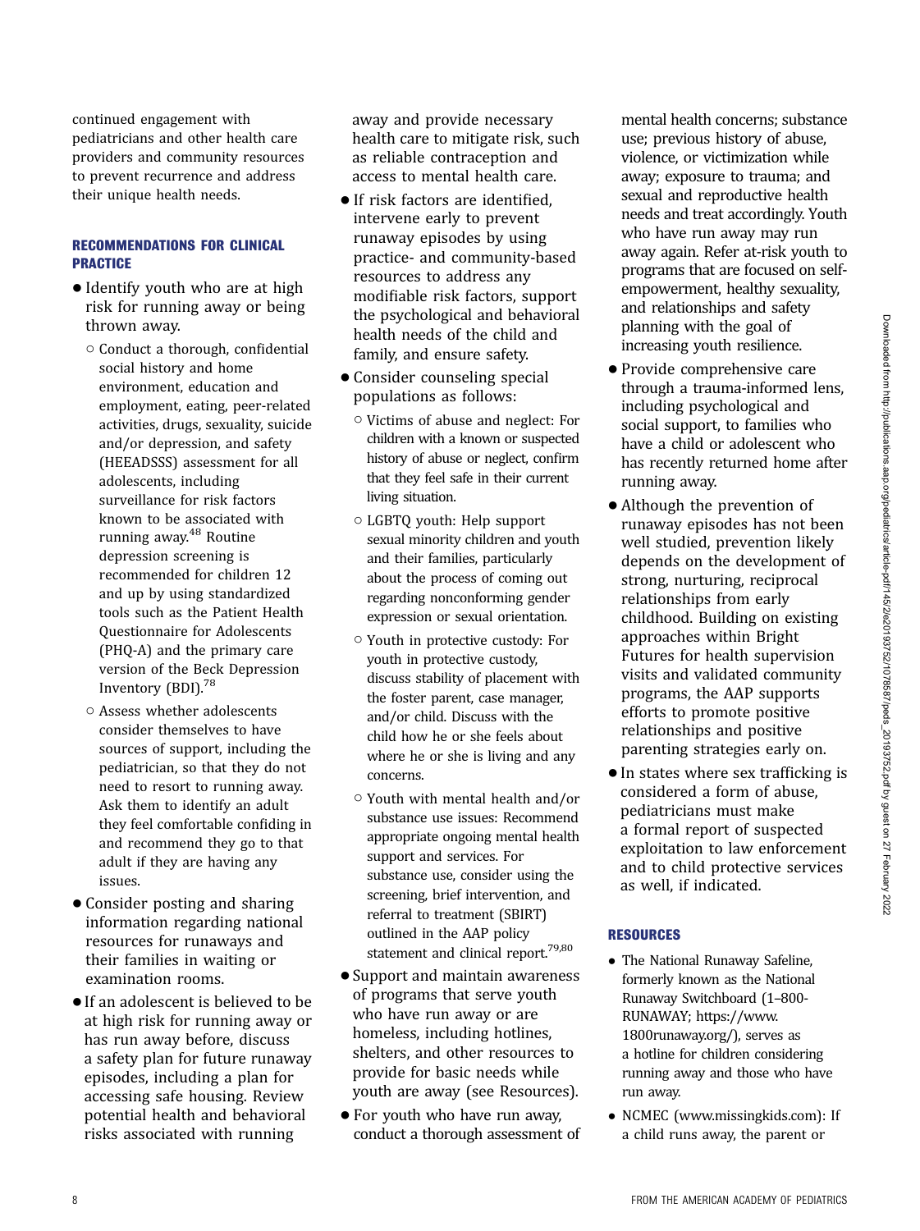continued engagement with pediatricians and other health care providers and community resources to prevent recurrence and address their unique health needs.

# RECOMMENDATIONS FOR CLINICAL **PRACTICE**

- Identify youth who are at high risk for running away or being thrown away.
	- Conduct a thorough, confidential social history and home environment, education and employment, eating, peer-related activities, drugs, sexuality, suicide and/or depression, and safety (HEEADSSS) assessment for all adolescents, including surveillance for risk factors known to be associated with running away.<sup>[48](#page-10-0)</sup> Routine depression screening is recommended for children 12 and up by using standardized tools such as the Patient Health Questionnaire for Adolescents (PHQ-A) and the primary care version of the Beck Depression Inventory (BDI)[.78](#page-11-0)
	- Assess whether adolescents consider themselves to have sources of support, including the pediatrician, so that they do not need to resort to running away. Ask them to identify an adult they feel comfortable confiding in and recommend they go to that adult if they are having any issues.
- Consider posting and sharing information regarding national resources for runaways and their families in waiting or examination rooms.
- If an adolescent is believed to be at high risk for running away or has run away before, discuss a safety plan for future runaway episodes, including a plan for accessing safe housing. Review potential health and behavioral risks associated with running

away and provide necessary health care to mitigate risk, such as reliable contraception and access to mental health care.

- If risk factors are identified, intervene early to prevent runaway episodes by using practice- and community-based resources to address any modifiable risk factors, support the psychological and behavioral health needs of the child and family, and ensure safety.
- Consider counseling special populations as follows:
	- Victims of abuse and neglect: For children with a known or suspected history of abuse or neglect, confirm that they feel safe in their current living situation.
	- LGBTQ youth: Help support sexual minority children and youth and their families, particularly about the process of coming out regarding nonconforming gender expression or sexual orientation.
	- Youth in protective custody: For youth in protective custody, discuss stability of placement with the foster parent, case manager, and/or child. Discuss with the child how he or she feels about where he or she is living and any concerns.
	- Youth with mental health and/or substance use issues: Recommend appropriate ongoing mental health support and services. For substance use, consider using the screening, brief intervention, and referral to treatment (SBIRT) outlined in the AAP policy statement and clinical report.<sup>79,80</sup>
- Support and maintain awareness of programs that serve youth who have run away or are homeless, including hotlines, shelters, and other resources to provide for basic needs while youth are away (see Resources).
- For youth who have run away, conduct a thorough assessment of

mental health concerns; substance use; previous history of abuse, violence, or victimization while away; exposure to trauma; and sexual and reproductive health needs and treat accordingly. Youth who have run away may run away again. Refer at-risk youth to programs that are focused on selfempowerment, healthy sexuality, and relationships and safety planning with the goal of increasing youth resilience.

- Provide comprehensive care through a trauma-informed lens, including psychological and social support, to families who have a child or adolescent who has recently returned home after running away.
- Although the prevention of runaway episodes has not been well studied, prevention likely depends on the development of strong, nurturing, reciprocal relationships from early childhood. Building on existing approaches within Bright Futures for health supervision visits and validated community programs, the AAP supports efforts to promote positive relationships and positive parenting strategies early on.
- $\bullet$  In states where sex trafficking is considered a form of abuse, pediatricians must make a formal report of suspected exploitation to law enforcement and to child protective services as well, if indicated.

# RESOURCES

- The National Runaway Safeline, formerly known as the National Runaway Switchboard (1–800- RUNAWAY; [https://www.](https://www.1800runaway.org/) [1800runaway.org/](https://www.1800runaway.org/)), serves as a hotline for children considering running away and those who have run away.
- NCMEC ([www.missingkids.com](http://www.missingkids.com)): If a child runs away, the parent or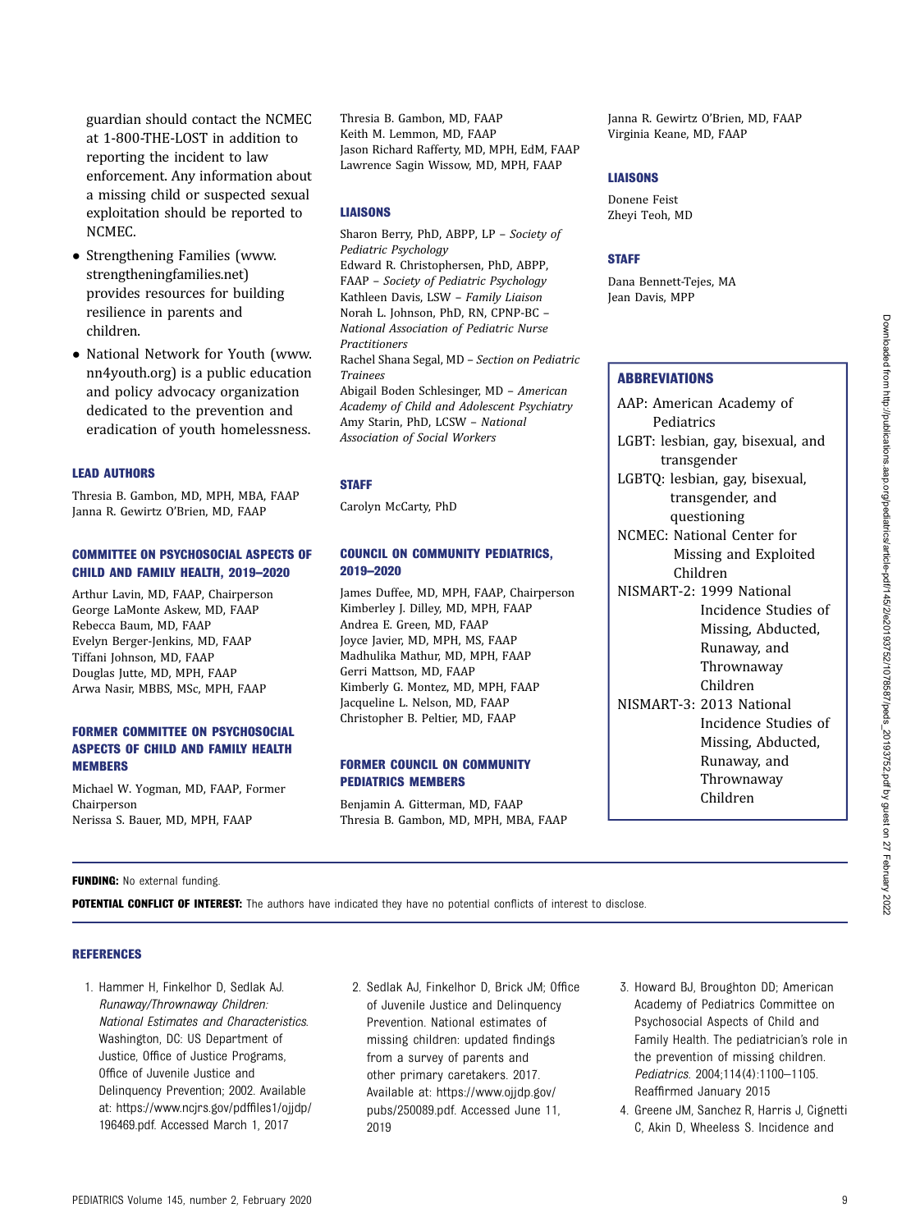<span id="page-8-0"></span>guardian should contact the NCMEC at 1-800-THE-LOST in addition to reporting the incident to law enforcement. Any information about a missing child or suspected sexual exploitation should be reported to NCMEC.

- Strengthening Families [\(www.](http://www.strengtheningfamilies.net) [strengtheningfamilies.net\)](http://www.strengtheningfamilies.net) provides resources for building resilience in parents and children.
- National Network for Youth [\(www.](http://www.nn4youth.org) [nn4youth.org\)](http://www.nn4youth.org) is a public education and policy advocacy organization dedicated to the prevention and eradication of youth homelessness.

### LEAD AUTHORS

Thresia B. Gambon, MD, MPH, MBA, FAAP Janna R. Gewirtz O'Brien, MD, FAAP

#### COMMITTEE ON PSYCHOSOCIAL ASPECTS OF CHILD AND FAMILY HEALTH, 2019–2020

Arthur Lavin, MD, FAAP, Chairperson George LaMonte Askew, MD, FAAP Rebecca Baum, MD, FAAP Evelyn Berger-Jenkins, MD, FAAP Tiffani Johnson, MD, FAAP Douglas Jutte, MD, MPH, FAAP Arwa Nasir, MBBS, MSc, MPH, FAAP

#### FORMER COMMITTEE ON PSYCHOSOCIAL ASPECTS OF CHILD AND FAMILY HEALTH MEMBERS

Michael W. Yogman, MD, FAAP, Former Chairperson Nerissa S. Bauer, MD, MPH, FAAP

1. Hammer H, Finkelhor D, Sedlak AJ. Runaway/Thrownaway Children: National Estimates and Characteristics. Washington, DC: US Department of Justice, Office of Justice Programs, Office of Juvenile Justice and Delinquency Prevention; 2002. Available at: [https://www.ncjrs.gov/pdf](https://www.ncjrs.gov/pdffiles1/ojjdp/196469.pdf)files1/ojjdp/ [196469.pdf.](https://www.ncjrs.gov/pdffiles1/ojjdp/196469.pdf) Accessed March 1, 2017

**FUNDING:** No external funding.

**REFERENCES** 

Thresia B. Gambon, MD, FAAP Keith M. Lemmon, MD, FAAP Jason Richard Rafferty, MD, MPH, EdM, FAAP Lawrence Sagin Wissow, MD, MPH, FAAP

#### LIAISONS

Sharon Berry, PhD, ABPP, LP – Society of Pediatric Psychology Edward R. Christophersen, PhD, ABPP, FAAP – Society of Pediatric Psychology Kathleen Davis, LSW – Family Liaison Norah L. Johnson, PhD, RN, CPNP-BC – National Association of Pediatric Nurse **Practitioners** Rachel Shana Segal, MD – Section on Pediatric Trainees Abigail Boden Schlesinger, MD – American Academy of Child and Adolescent Psychiatry Amy Starin, PhD, LCSW – National Association of Social Workers

#### **STAFF**

POTENTIAL CONFLICT OF INTEREST: The authors have indicated they have no potential conflicts of interest to disclose.

Carolyn McCarty, PhD

#### COUNCIL ON COMMUNITY PEDIATRICS, 2019–2020

James Duffee, MD, MPH, FAAP, Chairperson Kimberley J. Dilley, MD, MPH, FAAP Andrea E. Green, MD, FAAP Joyce Javier, MD, MPH, MS, FAAP Madhulika Mathur, MD, MPH, FAAP Gerri Mattson, MD, FAAP Kimberly G. Montez, MD, MPH, FAAP Jacqueline L. Nelson, MD, FAAP Christopher B. Peltier, MD, FAAP

#### FORMER COUNCIL ON COMMUNITY PEDIATRICS MEMBERS

Benjamin A. Gitterman, MD, FAAP Thresia B. Gambon, MD, MPH, MBA, FAAP Janna R. Gewirtz O'Brien, MD, FAAP Virginia Keane, MD, FAAP

#### LIAISONS

Donene Feist Zheyi Teoh, MD

#### **STAFF**

Dana Bennett-Tejes, MA Jean Davis, MPP

### **ABBREVIATIONS**

AAP: American Academy of **Pediatrics** LGBT: lesbian, gay, bisexual, and transgender LGBTQ: lesbian, gay, bisexual, transgender, and questioning NCMEC: National Center for Missing and Exploited Children NISMART-2: 1999 National Incidence Studies of Missing, Abducted, Runaway, and Thrownaway Children NISMART-3: 2013 National Incidence Studies of Missing, Abducted, Runaway, and Thrownaway Children

#### PEDIATRICS Volume 145, number 2, February 2020 9

- 2. Sedlak AJ, Finkelhor D, Brick JM; Office of Juvenile Justice and Delinquency Prevention. National estimates of missing children: updated findings from a survey of parents and other primary caretakers. 2017. Available at: [https://www.ojjdp.gov/](https://www.ojjdp.gov/pubs/250089.pdf) [pubs/250089.pdf.](https://www.ojjdp.gov/pubs/250089.pdf) Accessed June 11, 2019
- 3. Howard BJ, Broughton DD; American Academy of Pediatrics Committee on Psychosocial Aspects of Child and Family Health. The pediatrician's role in the prevention of missing children. Pediatrics. 2004;114(4):1100–1105. Reaffirmed January 2015
- 4. Greene JM, Sanchez R, Harris J, Cignetti C, Akin D, Wheeless S. Incidence and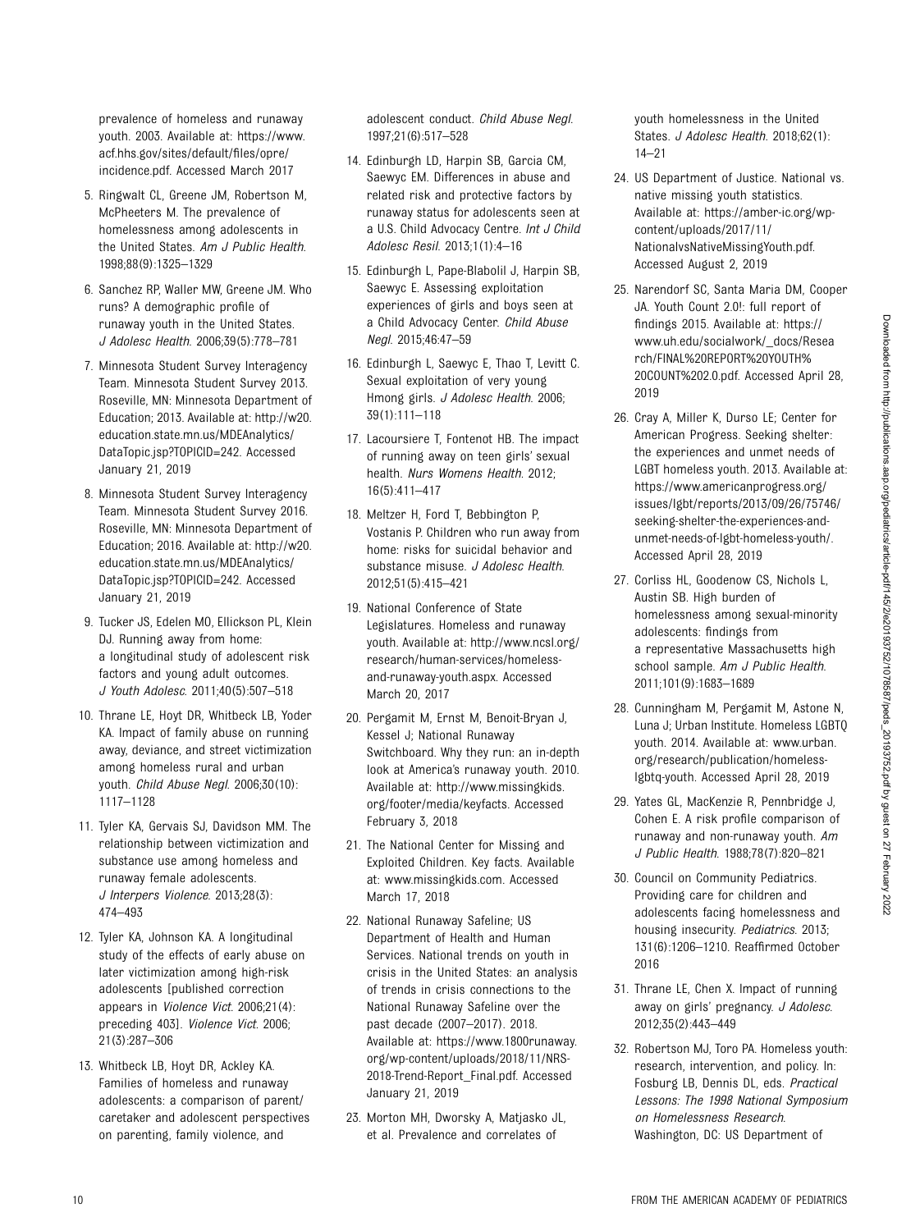<span id="page-9-0"></span>prevalence of homeless and runaway youth. 2003. Available at: [https://www.](https://www.acf.hhs.gov/sites/default/files/opre/incidence.pdf) [acf.hhs.gov/sites/default/](https://www.acf.hhs.gov/sites/default/files/opre/incidence.pdf)files/opre/ [incidence.pdf.](https://www.acf.hhs.gov/sites/default/files/opre/incidence.pdf) Accessed March 2017

- 5. Ringwalt CL, Greene JM, Robertson M, McPheeters M. The prevalence of homelessness among adolescents in the United States. Am J Public Health. 1998;88(9):1325–1329
- 6. Sanchez RP, Waller MW, Greene JM. Who runs? A demographic profile of runaway youth in the United States. J Adolesc Health. 2006;39(5):778–781
- 7. Minnesota Student Survey Interagency Team. Minnesota Student Survey 2013. Roseville, MN: Minnesota Department of Education; 2013. Available at: [http://w20.](http://w20.education.state.mn.us/MDEAnalytics/DataTopic.jsp?TOPICID=242) [education.state.mn.us/MDEAnalytics/](http://w20.education.state.mn.us/MDEAnalytics/DataTopic.jsp?TOPICID=242) [DataTopic.jsp?TOPICID=242](http://w20.education.state.mn.us/MDEAnalytics/DataTopic.jsp?TOPICID=242). Accessed January 21, 2019
- 8. Minnesota Student Survey Interagency Team. Minnesota Student Survey 2016. Roseville, MN: Minnesota Department of Education; 2016. Available at: [http://w20.](http://w20.education.state.mn.us/MDEAnalytics/DataTopic.jsp?TOPICID=242) [education.state.mn.us/MDEAnalytics/](http://w20.education.state.mn.us/MDEAnalytics/DataTopic.jsp?TOPICID=242) [DataTopic.jsp?TOPICID=242](http://w20.education.state.mn.us/MDEAnalytics/DataTopic.jsp?TOPICID=242). Accessed January 21, 2019
- 9. Tucker JS, Edelen MO, Ellickson PL, Klein DJ. Running away from home: a longitudinal study of adolescent risk factors and young adult outcomes. J Youth Adolesc. 2011;40(5):507–518
- 10. Thrane LE, Hoyt DR, Whitbeck LB, Yoder KA. Impact of family abuse on running away, deviance, and street victimization among homeless rural and urban youth. Child Abuse Negl. 2006;30(10): 1117–1128
- 11. Tyler KA, Gervais SJ, Davidson MM. The relationship between victimization and substance use among homeless and runaway female adolescents. J Interpers Violence. 2013;28(3): 474–493
- 12. Tyler KA, Johnson KA. A longitudinal study of the effects of early abuse on later victimization among high-risk adolescents [published correction appears in Violence Vict. 2006;21(4): preceding 403]. Violence Vict. 2006; 21(3):287–306
- 13. Whitbeck LB, Hoyt DR, Ackley KA. Families of homeless and runaway adolescents: a comparison of parent/ caretaker and adolescent perspectives on parenting, family violence, and

adolescent conduct. Child Abuse Negl. 1997;21(6):517–528

- 14. Edinburgh LD, Harpin SB, Garcia CM, Saewyc EM. Differences in abuse and related risk and protective factors by runaway status for adolescents seen at a U.S. Child Advocacy Centre. Int J Child Adolesc Resil. 2013;1(1):4–16
- 15. Edinburgh L, Pape-Blabolil J, Harpin SB, Saewyc E. Assessing exploitation experiences of girls and boys seen at a Child Advocacy Center. Child Abuse Negl. 2015;46:47–59
- 16. Edinburgh L, Saewyc E, Thao T, Levitt C. Sexual exploitation of very young Hmong girls. J Adolesc Health. 2006; 39(1):111–118
- 17. Lacoursiere T, Fontenot HB. The impact of running away on teen girls' sexual health. Nurs Womens Health. 2012; 16(5):411–417
- 18. Meltzer H, Ford T, Bebbington P, Vostanis P. Children who run away from home: risks for suicidal behavior and substance misuse. J Adolesc Health. 2012;51(5):415–421
- 19. National Conference of State Legislatures. Homeless and runaway youth. Available at: [http://www.ncsl.org/](http://www.ncsl.org/research/human-services/homeless-and-runaway-youth.aspx) [research/human-services/homeless](http://www.ncsl.org/research/human-services/homeless-and-runaway-youth.aspx)[and-runaway-youth.aspx](http://www.ncsl.org/research/human-services/homeless-and-runaway-youth.aspx). Accessed March 20, 2017
- 20. Pergamit M, Ernst M, Benoit-Bryan J, Kessel J; National Runaway Switchboard. Why they run: an in-depth look at America's runaway youth. 2010. Available at: [http://www.missingkids.](http://www.missingkids.org/footer/media/keyfacts) [org/footer/media/keyfacts.](http://www.missingkids.org/footer/media/keyfacts) Accessed February 3, 2018
- 21. The National Center for Missing and Exploited Children. Key facts. Available at: [www.missingkids.com.](http://www.missingkids.com) Accessed March 17, 2018
- 22. National Runaway Safeline; US Department of Health and Human Services. National trends on youth in crisis in the United States: an analysis of trends in crisis connections to the National Runaway Safeline over the past decade (2007–2017). 2018. Available at: [https://www.1800runaway.](https://www.1800runaway.org/wp-content/uploads/2018/11/NRS-2018-Trend-Report_Final.pdf) [org/wp-content/uploads/2018/11/NRS-](https://www.1800runaway.org/wp-content/uploads/2018/11/NRS-2018-Trend-Report_Final.pdf)[2018-Trend-Report\\_Final.pdf.](https://www.1800runaway.org/wp-content/uploads/2018/11/NRS-2018-Trend-Report_Final.pdf) Accessed January 21, 2019
- 23. Morton MH, Dworsky A, Matjasko JL, et al. Prevalence and correlates of

youth homelessness in the United States. J Adolesc Health. 2018;62(1): 14–21

- 24. US Department of Justice. National vs. native missing youth statistics. Available at: [https://amber-ic.org/wp](https://amber-ic.org/wp-content/uploads/2017/11/NationalvsNativeMissingYouth.pdf)[content/uploads/2017/11/](https://amber-ic.org/wp-content/uploads/2017/11/NationalvsNativeMissingYouth.pdf) [NationalvsNativeMissingYouth.pdf.](https://amber-ic.org/wp-content/uploads/2017/11/NationalvsNativeMissingYouth.pdf) Accessed August 2, 2019
- 25. Narendorf SC, Santa Maria DM, Cooper JA. Youth Count 2.0!: full report of findings 2015. Available at: [https://](https://www.uh.edu/socialwork/_docs/Research/FINAL%20REPORT%20YOUTH%20COUNT%202.0.pdf) [www.uh.edu/socialwork/\\_docs/Resea](https://www.uh.edu/socialwork/_docs/Research/FINAL%20REPORT%20YOUTH%20COUNT%202.0.pdf) [rch/FINAL%20REPORT%20YOUTH%](https://www.uh.edu/socialwork/_docs/Research/FINAL%20REPORT%20YOUTH%20COUNT%202.0.pdf) [20COUNT%202.0.pdf](https://www.uh.edu/socialwork/_docs/Research/FINAL%20REPORT%20YOUTH%20COUNT%202.0.pdf). Accessed April 28, 2019
- 26. Cray A, Miller K, Durso LE; Center for American Progress. Seeking shelter: the experiences and unmet needs of LGBT homeless youth. 2013. Available at: [https://www.americanprogress.org/](https://www.americanprogress.org/issues/lgbt/reports/2013/09/26/75746/seeking-shelter-the-experiences-and-unmet-needs-of-lgbt-homeless-youth/) [issues/lgbt/reports/2013/09/26/75746/](https://www.americanprogress.org/issues/lgbt/reports/2013/09/26/75746/seeking-shelter-the-experiences-and-unmet-needs-of-lgbt-homeless-youth/) [seeking-shelter-the-experiences-and](https://www.americanprogress.org/issues/lgbt/reports/2013/09/26/75746/seeking-shelter-the-experiences-and-unmet-needs-of-lgbt-homeless-youth/)[unmet-needs-of-lgbt-homeless-youth/](https://www.americanprogress.org/issues/lgbt/reports/2013/09/26/75746/seeking-shelter-the-experiences-and-unmet-needs-of-lgbt-homeless-youth/). Accessed April 28, 2019
- 27. Corliss HL, Goodenow CS, Nichols L, Austin SB. High burden of homelessness among sexual-minority adolescents: findings from a representative Massachusetts high school sample. Am J Public Health. 2011;101(9):1683–1689
- 28. Cunningham M, Pergamit M, Astone N, Luna J; Urban Institute. Homeless LGBTQ youth. 2014. Available at: [www.urban.](http://www.urban.org/research/publication/homeless-lgbtq-youth) [org/research/publication/homeless](http://www.urban.org/research/publication/homeless-lgbtq-youth)[lgbtq-youth](http://www.urban.org/research/publication/homeless-lgbtq-youth). Accessed April 28, 2019
- 29. Yates GL, MacKenzie R, Pennbridge J, Cohen E. A risk profile comparison of runaway and non-runaway youth. Am J Public Health. 1988;78(7):820–821
- 30. Council on Community Pediatrics. Providing care for children and adolescents facing homelessness and housing insecurity. Pediatrics. 2013; 131(6):1206–1210. Reaffirmed October 2016
- 31. Thrane LE, Chen X. Impact of running away on girls' pregnancy. J Adolesc. 2012;35(2):443–449
- 32. Robertson MJ, Toro PA. Homeless youth: research, intervention, and policy. In: Fosburg LB, Dennis DL, eds. Practical Lessons: The 1998 National Symposium on Homelessness Research. Washington, DC: US Department of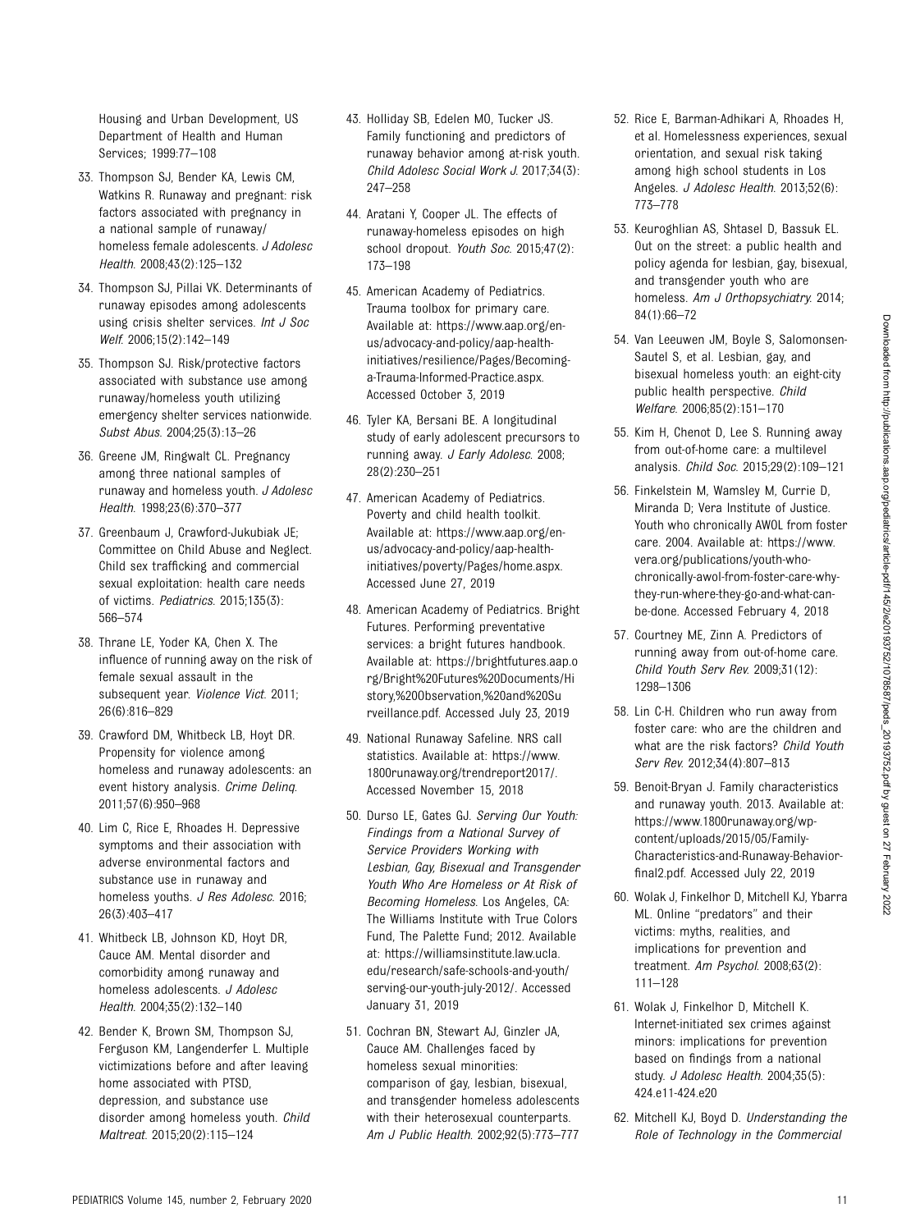<span id="page-10-0"></span>Housing and Urban Development, US Department of Health and Human Services; 1999:77–108

- 33. Thompson SJ, Bender KA, Lewis CM, Watkins R. Runaway and pregnant: risk factors associated with pregnancy in a national sample of runaway/ homeless female adolescents. J Adolesc Health. 2008;43(2):125–132
- 34. Thompson SJ, Pillai VK. Determinants of runaway episodes among adolescents using crisis shelter services. Int J Soc Welf. 2006;15(2):142–149
- 35. Thompson SJ. Risk/protective factors associated with substance use among runaway/homeless youth utilizing emergency shelter services nationwide. Subst Abus. 2004;25(3):13–26
- 36. Greene JM, Ringwalt CL. Pregnancy among three national samples of runaway and homeless youth. J Adolesc Health. 1998;23(6):370–377
- 37. Greenbaum J, Crawford-Jukubiak JE; Committee on Child Abuse and Neglect. Child sex trafficking and commercial sexual exploitation: health care needs of victims. Pediatrics. 2015;135(3): 566–574
- 38. Thrane LE, Yoder KA, Chen X. The influence of running away on the risk of female sexual assault in the subsequent year. Violence Vict. 2011; 26(6):816–829
- 39. Crawford DM, Whitbeck LB, Hoyt DR. Propensity for violence among homeless and runaway adolescents: an event history analysis. Crime Delinq. 2011;57(6):950–968
- 40. Lim C, Rice E, Rhoades H. Depressive symptoms and their association with adverse environmental factors and substance use in runaway and homeless youths. J Res Adolesc. 2016; 26(3):403–417
- 41. Whitbeck LB, Johnson KD, Hoyt DR, Cauce AM. Mental disorder and comorbidity among runaway and homeless adolescents. J Adolesc Health. 2004;35(2):132–140
- 42. Bender K, Brown SM, Thompson SJ, Ferguson KM, Langenderfer L. Multiple victimizations before and after leaving home associated with PTSD, depression, and substance use disorder among homeless youth. Child Maltreat. 2015;20(2):115–124
- 43. Holliday SB, Edelen MO, Tucker JS. Family functioning and predictors of runaway behavior among at-risk youth. Child Adolesc Social Work J. 2017;34(3): 247–258
- 44. Aratani Y, Cooper JL. The effects of runaway-homeless episodes on high school dropout. Youth Soc. 2015;47(2): 173–198
- 45. American Academy of Pediatrics. Trauma toolbox for primary care. Available at: [https://www.aap.org/en](https://www.aap.org/en-us/advocacy-and-policy/aap-health-initiatives/resilience/Pages/Becoming-a-Trauma-Informed-Practice.aspx)[us/advocacy-and-policy/aap-health](https://www.aap.org/en-us/advocacy-and-policy/aap-health-initiatives/resilience/Pages/Becoming-a-Trauma-Informed-Practice.aspx)[initiatives/resilience/Pages/Becoming](https://www.aap.org/en-us/advocacy-and-policy/aap-health-initiatives/resilience/Pages/Becoming-a-Trauma-Informed-Practice.aspx)[a-Trauma-Informed-Practice.aspx](https://www.aap.org/en-us/advocacy-and-policy/aap-health-initiatives/resilience/Pages/Becoming-a-Trauma-Informed-Practice.aspx). Accessed October 3, 2019
- 46. Tyler KA, Bersani BE. A longitudinal study of early adolescent precursors to running away. J Early Adolesc. 2008; 28(2):230–251
- 47. American Academy of Pediatrics. Poverty and child health toolkit. Available at: [https://www.aap.org/en](https://www.aap.org/en-us/advocacy-and-policy/aap-health-initiatives/poverty/Pages/home.aspx)[us/advocacy-and-policy/aap-health](https://www.aap.org/en-us/advocacy-and-policy/aap-health-initiatives/poverty/Pages/home.aspx)[initiatives/poverty/Pages/home.aspx](https://www.aap.org/en-us/advocacy-and-policy/aap-health-initiatives/poverty/Pages/home.aspx). Accessed June 27, 2019
- 48. American Academy of Pediatrics. Bright Futures. Performing preventative services: a bright futures handbook. Available at: [https://brightfutures.aap.o](https://brightfutures.aap.org/Bright%20Futures%20Documents/History,%20Observation,%20and%20Surveillance.pdf) [rg/Bright%20Futures%20Documents/Hi](https://brightfutures.aap.org/Bright%20Futures%20Documents/History,%20Observation,%20and%20Surveillance.pdf) [story,%20Observation,%20and%20Su](https://brightfutures.aap.org/Bright%20Futures%20Documents/History,%20Observation,%20and%20Surveillance.pdf) [rveillance.pdf.](https://brightfutures.aap.org/Bright%20Futures%20Documents/History,%20Observation,%20and%20Surveillance.pdf) Accessed July 23, 2019
- 49. National Runaway Safeline. NRS call statistics. Available at: [https://www.](https://www.1800runaway.org/trendreport2017/) [1800runaway.org/trendreport2017/.](https://www.1800runaway.org/trendreport2017/) Accessed November 15, 2018
- 50. Durso LE, Gates GJ. Serving Our Youth: Findings from a National Survey of Service Providers Working with Lesbian, Gay, Bisexual and Transgender Youth Who Are Homeless or At Risk of Becoming Homeless. Los Angeles, CA: The Williams Institute with True Colors Fund, The Palette Fund; 2012. Available at: [https://williamsinstitute.law.ucla.](https://williamsinstitute.law.ucla.edu/research/safe-schools-and-youth/serving-our-youth-july-2012/) [edu/research/safe-schools-and-youth/](https://williamsinstitute.law.ucla.edu/research/safe-schools-and-youth/serving-our-youth-july-2012/) [serving-our-youth-july-2012/](https://williamsinstitute.law.ucla.edu/research/safe-schools-and-youth/serving-our-youth-july-2012/). Accessed January 31, 2019
- 51. Cochran BN, Stewart AJ, Ginzler JA, Cauce AM. Challenges faced by homeless sexual minorities: comparison of gay, lesbian, bisexual, and transgender homeless adolescents with their heterosexual counterparts. Am J Public Health. 2002;92(5):773–777
- 52. Rice E, Barman-Adhikari A, Rhoades H, et al. Homelessness experiences, sexual orientation, and sexual risk taking among high school students in Los Angeles. J Adolesc Health. 2013;52(6): 773–778
- 53. Keuroghlian AS, Shtasel D, Bassuk EL. Out on the street: a public health and policy agenda for lesbian, gay, bisexual, and transgender youth who are homeless. Am J Orthopsychiatry. 2014; 84(1):66–72
- 54. Van Leeuwen JM, Boyle S, Salomonsen-Sautel S, et al. Lesbian, gay, and bisexual homeless youth: an eight-city public health perspective. Child Welfare. 2006;85(2):151–170
- 55. Kim H, Chenot D, Lee S. Running away from out-of-home care: a multilevel analysis. Child Soc. 2015;29(2):109–121
- 56. Finkelstein M, Wamsley M, Currie D, Miranda D; Vera Institute of Justice. Youth who chronically AWOL from foster care. 2004. Available at: [https://www.](https://www.vera.org/publications/youth-who-chronically-awol-from-foster-care-why-they-run-where-they-go-and-what-can-be-done) [vera.org/publications/youth-who](https://www.vera.org/publications/youth-who-chronically-awol-from-foster-care-why-they-run-where-they-go-and-what-can-be-done)[chronically-awol-from-foster-care-why](https://www.vera.org/publications/youth-who-chronically-awol-from-foster-care-why-they-run-where-they-go-and-what-can-be-done)[they-run-where-they-go-and-what-can](https://www.vera.org/publications/youth-who-chronically-awol-from-foster-care-why-they-run-where-they-go-and-what-can-be-done)[be-done](https://www.vera.org/publications/youth-who-chronically-awol-from-foster-care-why-they-run-where-they-go-and-what-can-be-done). Accessed February 4, 2018
- 57. Courtney ME, Zinn A. Predictors of running away from out-of-home care. Child Youth Serv Rev. 2009;31(12): 1298–1306
- 58. Lin C-H. Children who run away from foster care: who are the children and what are the risk factors? Child Youth Serv Rev. 2012;34(4):807–813
- 59. Benoit-Bryan J. Family characteristics and runaway youth. 2013. Available at: [https://www.1800runaway.org/wp](https://www.1800runaway.org/wp-content/uploads/2015/05/Family-Characteristics-and-Runaway-Behavior-final2.pdf)[content/uploads/2015/05/Family-](https://www.1800runaway.org/wp-content/uploads/2015/05/Family-Characteristics-and-Runaway-Behavior-final2.pdf)[Characteristics-and-Runaway-Behavior](https://www.1800runaway.org/wp-content/uploads/2015/05/Family-Characteristics-and-Runaway-Behavior-final2.pdf)fi[nal2.pdf.](https://www.1800runaway.org/wp-content/uploads/2015/05/Family-Characteristics-and-Runaway-Behavior-final2.pdf) Accessed July 22, 2019
- 60. Wolak J, Finkelhor D, Mitchell KJ, Ybarra ML. Online "predators" and their victims: myths, realities, and implications for prevention and treatment. Am Psychol. 2008;63(2): 111–128
- 61. Wolak J, Finkelhor D, Mitchell K. Internet-initiated sex crimes against minors: implications for prevention based on findings from a national study. J Adolesc Health. 2004;35(5): 424.e11-424.e20
- 62. Mitchell KJ, Boyd D. Understanding the Role of Technology in the Commercial